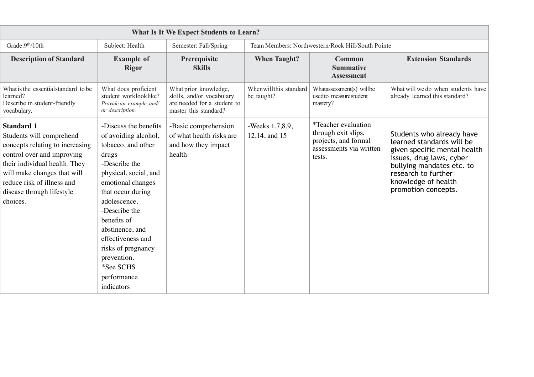| What Is It We Expect Students to Learn?                                                                                                                                                                                                               |                                                                                                                                                                                                                                                                                                                                         |                                                                                                            |                                                   |                                                                                                         |                                                                                                                                                                                                                      |  |
|-------------------------------------------------------------------------------------------------------------------------------------------------------------------------------------------------------------------------------------------------------|-----------------------------------------------------------------------------------------------------------------------------------------------------------------------------------------------------------------------------------------------------------------------------------------------------------------------------------------|------------------------------------------------------------------------------------------------------------|---------------------------------------------------|---------------------------------------------------------------------------------------------------------|----------------------------------------------------------------------------------------------------------------------------------------------------------------------------------------------------------------------|--|
| Grade: 9 <sup>th</sup> /10th                                                                                                                                                                                                                          | Subject: Health                                                                                                                                                                                                                                                                                                                         | Semester: Fall/Spring                                                                                      | Team Members: Northwestern/Rock Hill/South Pointe |                                                                                                         |                                                                                                                                                                                                                      |  |
| <b>Description of Standard</b>                                                                                                                                                                                                                        | <b>Example of</b><br><b>Rigor</b>                                                                                                                                                                                                                                                                                                       | Prerequisite<br><b>Skills</b>                                                                              | <b>When Taught?</b>                               | Common<br><b>Summative</b><br><b>Assessment</b>                                                         | <b>Extension Standards</b>                                                                                                                                                                                           |  |
| What is the essential standard to be<br>learned?<br>Describe in student-friendly<br>vocabulary.                                                                                                                                                       | What does proficient<br>student worklooklike?<br>Provide an example and/<br>or description.                                                                                                                                                                                                                                             | What prior knowledge,<br>skills, and/or vocabulary<br>are needed for a student to<br>master this standard? | Whenwillthis standard<br>be taught?               | Whatassessment(s) willbe<br>usedto measurestudent<br>mastery?                                           | What will we do when students have<br>already learned this standard?                                                                                                                                                 |  |
| <b>Standard 1</b><br>Students will comprehend<br>concepts relating to increasing<br>control over and improving<br>their individual health. They<br>will make changes that will<br>reduce risk of illness and<br>disease through lifestyle<br>choices. | -Discuss the benefits<br>of avoiding alcohol,<br>tobacco, and other<br>drugs<br>-Describe the<br>physical, social, and<br>emotional changes<br>that occur during<br>adolescence.<br>-Describe the<br>benefits of<br>abstinence, and<br>effectiveness and<br>risks of pregnancy<br>prevention.<br>*See SCHS<br>performance<br>indicators | -Basic comprehension<br>of what health risks are<br>and how they impact<br>health                          | -Weeks 1,7,8,9,<br>12,14, and 15                  | *Teacher evaluation<br>through exit slips,<br>projects, and formal<br>assessments via written<br>tests. | Students who already have<br>learned standards will be<br>given specific mental health<br>issues, drug laws, cyber<br>bullying mandates etc. to<br>research to further<br>knowledge of health<br>promotion concepts. |  |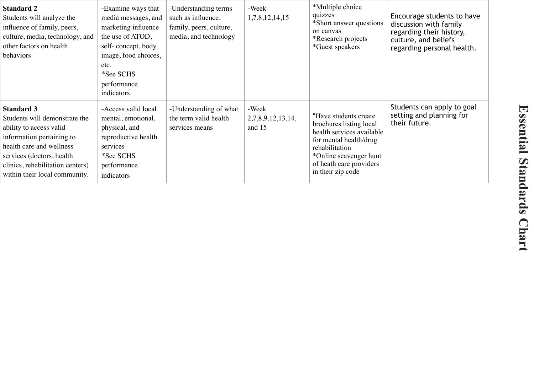| <b>Standard 2</b><br>Students will analyze the<br>influence of family, peers,<br>culture, media, technology, and<br>other factors on health<br>behaviors                                                                                 | -Examine ways that<br>media messages, and<br>marketing influence<br>the use of ATOD,<br>self-concept, body<br>image, food choices,<br>etc.<br>*See SCHS<br>performance<br>indicators | -Understanding terms<br>such as influence,<br>family, peers, culture,<br>media, and technology | -Week<br>1,7,8,12,14,15                | *Multiple choice<br>quizzes<br>*Short answer questions<br>on canvas<br>*Research projects<br>*Guest speakers                                                                                        | Encourage students to have<br>discussion with family<br>regarding their history,<br>culture, and beliefs<br>regarding personal health. |
|------------------------------------------------------------------------------------------------------------------------------------------------------------------------------------------------------------------------------------------|--------------------------------------------------------------------------------------------------------------------------------------------------------------------------------------|------------------------------------------------------------------------------------------------|----------------------------------------|-----------------------------------------------------------------------------------------------------------------------------------------------------------------------------------------------------|----------------------------------------------------------------------------------------------------------------------------------------|
| <b>Standard 3</b><br>Students will demonstrate the<br>ability to access valid<br>information pertaining to<br>health care and wellness<br>services (doctors, health<br>clinics, rehabilitation centers)<br>within their local community. | -Access valid local<br>mental, emotional,<br>physical, and<br>reproductive health<br>services<br>*See SCHS<br>performance<br>indicators                                              | -Understanding of what<br>the term valid health<br>services means                              | -Week<br>2,7,8,9,12,13,14,<br>and $15$ | *Have students create<br>brochures listing local<br>health services available<br>for mental health/drug<br>rehabilitation<br>*Online scavenger hunt<br>of heath care providers<br>in their zip code | Students can apply to goal<br>setting and planning for<br>their future.                                                                |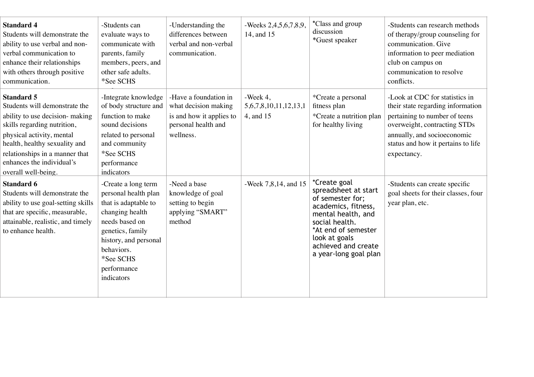| <b>Standard 4</b><br>Students will demonstrate the<br>ability to use verbal and non-<br>verbal communication to<br>enhance their relationships<br>with others through positive<br>communication.                                                                         | -Students can<br>evaluate ways to<br>communicate with<br>parents, family<br>members, peers, and<br>other safe adults.<br>*See SCHS                                                                            | -Understanding the<br>differences between<br>verbal and non-verbal<br>communication.                          | -Weeks 2,4,5,6,7,8,9,<br>14, and 15                       | *Class and group<br>discussion<br>*Guest speaker                                                                                                                                                                | -Students can research methods<br>of therapy/group counseling for<br>communication. Give<br>information to peer mediation<br>club on campus on<br>communication to resolve<br>conflicts.                                 |
|--------------------------------------------------------------------------------------------------------------------------------------------------------------------------------------------------------------------------------------------------------------------------|---------------------------------------------------------------------------------------------------------------------------------------------------------------------------------------------------------------|---------------------------------------------------------------------------------------------------------------|-----------------------------------------------------------|-----------------------------------------------------------------------------------------------------------------------------------------------------------------------------------------------------------------|--------------------------------------------------------------------------------------------------------------------------------------------------------------------------------------------------------------------------|
| <b>Standard 5</b><br>Students will demonstrate the<br>ability to use decision- making<br>skills regarding nutrition,<br>physical activity, mental<br>health, healthy sexuality and<br>relationships in a manner that<br>enhances the individual's<br>overall well-being. | -Integrate knowledge<br>of body structure and<br>function to make<br>sound decisions<br>related to personal<br>and community<br>*See SCHS<br>performance<br>indicators                                        | -Have a foundation in<br>what decision making<br>is and how it applies to<br>personal health and<br>wellness. | -Week $4$ ,<br>5, 6, 7, 8, 10, 11, 12, 13, 1<br>4, and 15 | *Create a personal<br>fitness plan<br>*Create a nutrition plan<br>for healthy living                                                                                                                            | -Look at CDC for statistics in<br>their state regarding information<br>pertaining to number of teens<br>overweight, contracting STDs<br>annually, and socioeconomic<br>status and how it pertains to life<br>expectancy. |
| Standard 6<br>Students will demonstrate the<br>ability to use goal-setting skills<br>that are specific, measurable,<br>attainable, realistic, and timely<br>to enhance health.                                                                                           | -Create a long term<br>personal health plan<br>that is adaptable to<br>changing health<br>needs based on<br>genetics, family<br>history, and personal<br>behaviors.<br>*See SCHS<br>performance<br>indicators | -Need a base<br>knowledge of goal<br>setting to begin<br>applying "SMART"<br>method                           | -Week 7,8,14, and 15                                      | *Create goal<br>spreadsheet at start<br>of semester for;<br>academics, fitness,<br>mental health, and<br>social health.<br>*At end of semester<br>look at goals<br>achieved and create<br>a year-long goal plan | -Students can create specific<br>goal sheets for their classes, four<br>year plan, etc.                                                                                                                                  |